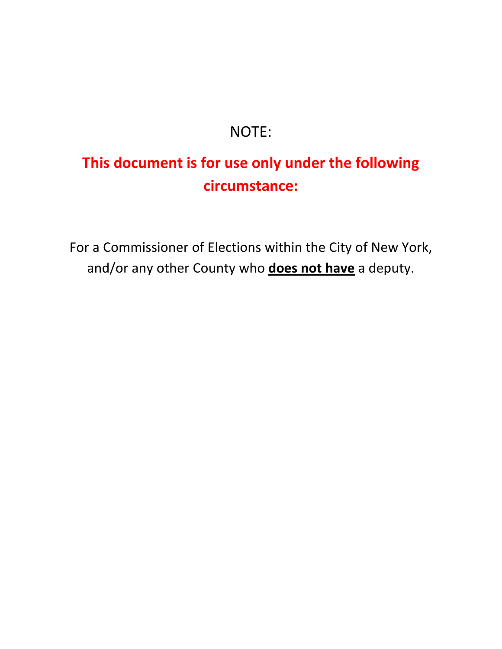## NOTE:

## **This document is for use only under the following circumstance:**

For a Commissioner of Elections within the City of New York, and/or any other County who **does not have** a deputy.